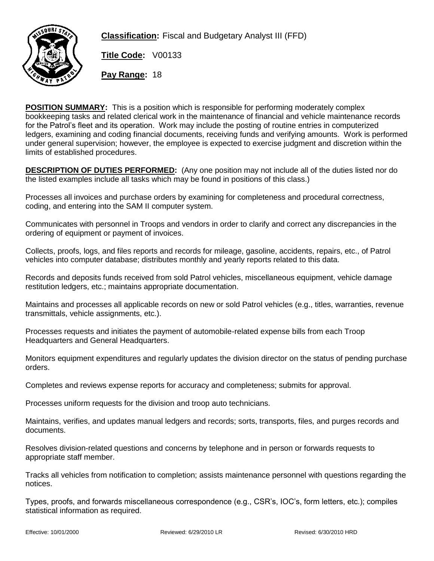

**Classification:** Fiscal and Budgetary Analyst III (FFD)

**Title Code:** V00133

**Pay Range:** 18

**POSITION SUMMARY:** This is a position which is responsible for performing moderately complex bookkeeping tasks and related clerical work in the maintenance of financial and vehicle maintenance records for the Patrol's fleet and its operation. Work may include the posting of routine entries in computerized ledgers, examining and coding financial documents, receiving funds and verifying amounts. Work is performed under general supervision; however, the employee is expected to exercise judgment and discretion within the limits of established procedures.

**DESCRIPTION OF DUTIES PERFORMED:** (Any one position may not include all of the duties listed nor do the listed examples include all tasks which may be found in positions of this class.)

Processes all invoices and purchase orders by examining for completeness and procedural correctness, coding, and entering into the SAM II computer system.

Communicates with personnel in Troops and vendors in order to clarify and correct any discrepancies in the ordering of equipment or payment of invoices.

Collects, proofs, logs, and files reports and records for mileage, gasoline, accidents, repairs, etc., of Patrol vehicles into computer database; distributes monthly and yearly reports related to this data.

Records and deposits funds received from sold Patrol vehicles, miscellaneous equipment, vehicle damage restitution ledgers, etc.; maintains appropriate documentation.

Maintains and processes all applicable records on new or sold Patrol vehicles (e.g., titles, warranties, revenue transmittals, vehicle assignments, etc.).

Processes requests and initiates the payment of automobile-related expense bills from each Troop Headquarters and General Headquarters.

Monitors equipment expenditures and regularly updates the division director on the status of pending purchase orders.

Completes and reviews expense reports for accuracy and completeness; submits for approval.

Processes uniform requests for the division and troop auto technicians.

Maintains, verifies, and updates manual ledgers and records; sorts, transports, files, and purges records and documents.

Resolves division-related questions and concerns by telephone and in person or forwards requests to appropriate staff member.

Tracks all vehicles from notification to completion; assists maintenance personnel with questions regarding the notices.

Types, proofs, and forwards miscellaneous correspondence (e.g., CSR's, IOC's, form letters, etc.); compiles statistical information as required.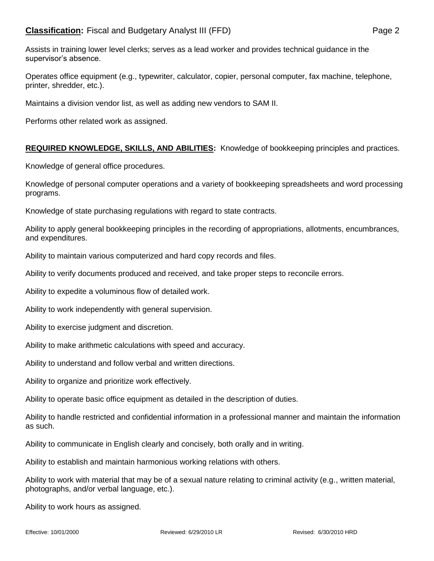Assists in training lower level clerks; serves as a lead worker and provides technical guidance in the supervisor's absence.

Operates office equipment (e.g., typewriter, calculator, copier, personal computer, fax machine, telephone, printer, shredder, etc.).

Maintains a division vendor list, as well as adding new vendors to SAM II.

Performs other related work as assigned.

## **REQUIRED KNOWLEDGE, SKILLS, AND ABILITIES:** Knowledge of bookkeeping principles and practices.

Knowledge of general office procedures.

Knowledge of personal computer operations and a variety of bookkeeping spreadsheets and word processing programs.

Knowledge of state purchasing regulations with regard to state contracts.

Ability to apply general bookkeeping principles in the recording of appropriations, allotments, encumbrances, and expenditures.

Ability to maintain various computerized and hard copy records and files.

Ability to verify documents produced and received, and take proper steps to reconcile errors.

Ability to expedite a voluminous flow of detailed work.

Ability to work independently with general supervision.

Ability to exercise judgment and discretion.

Ability to make arithmetic calculations with speed and accuracy.

Ability to understand and follow verbal and written directions.

Ability to organize and prioritize work effectively.

Ability to operate basic office equipment as detailed in the description of duties.

Ability to handle restricted and confidential information in a professional manner and maintain the information as such.

Ability to communicate in English clearly and concisely, both orally and in writing.

Ability to establish and maintain harmonious working relations with others.

Ability to work with material that may be of a sexual nature relating to criminal activity (e.g., written material, photographs, and/or verbal language, etc.).

Ability to work hours as assigned.